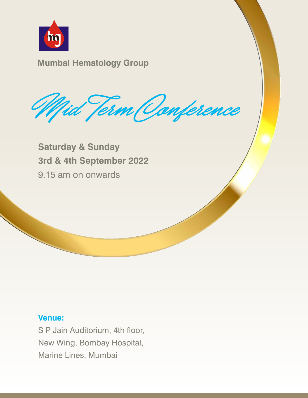

Mid Jerm Oanference

**Saturday & Sunday 3rd & 4th September 2022** 9.15 am on onwards

## **Venue:**

S P Jain Auditorium, 4th floor, New Wing, Bombay Hospital, Marine Lines, Mumbai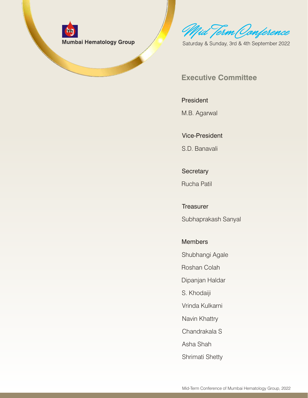

Mid Term Ocnference

Saturday & Sunday, 3rd & 4th September 2022

## **Executive Committee**

#### **President**

M.B. Agarwal

#### Vice-President

S.D. Banavali

**Secretary** 

Rucha Patil

**Treasurer** Subhaprakash Sanyal

**Members** 

Shubhangi Agale

Roshan Colah

Dipanjan Haldar

S. Khodaiji

Vrinda Kulkarni

Navin Khattry

Chandrakala S

Asha Shah

Shrimati Shetty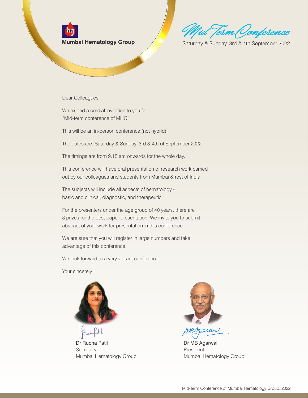Iid Term (Oonference

Saturday & Sunday, 3rd & 4th September 2022

Dear Colleagues

We extend a cordial invitation to you for "Mid-term conference of MHG".

This will be an in-person conference (not hybrid).

The dates are: Saturday & Sunday, 3rd & 4th of September 2022.

The timings are from 9.15 am onwards for the whole day.

This conference will have oral presentation of research work carried out by our colleagues and students from Mumbai & rest of India.

The subjects will include all aspects of hematology basic and clinical, diagnostic, and therapeutic.

For the presenters under the age group of 40 years, there are 3 prizes for the best paper presentation. We invite you to submit abstract of your work for presentation in this conference.

We are sure that you will register in large numbers and take advantage of this conference.

We look forward to a very vibrant conference.

Your sincerely



Dr Rucha Patil **Secretary** Mumbai Hematology Group



garon

Dr MB Agarwal President Mumbai Hematology Group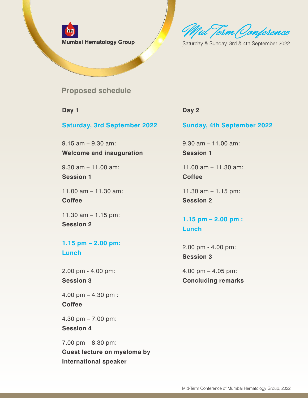

Mid Term Oonference

Saturday & Sunday, 3rd & 4th September 2022

**Proposed schedule**

**Day 1**

**Saturday, 3rd September 2022**

9.15 am – 9.30 am: **Welcome and inauguration** 

9.30 am – 11.00 am: **Session 1**

11.00 am – 11.30 am: **Coffee** 

11.30 am – 1.15 pm: **Session 2** 

**1.15 pm – 2.00 pm: Lunch**

2.00 pm - 4.00 pm: **Session 3**

4.00 pm – 4.30 pm : **Coffee** 

4.30 pm – 7.00 pm: **Session 4**

7.00 pm – 8.30 pm: **Guest lecture on myeloma by International speaker**

#### **Day 2**

#### **Sunday, 4th September 2022**

9.30 am – 11.00 am: **Session 1**

11.00 am – 11.30 am: **Coffee** 

11.30 am – 1.15 pm: **Session 2**

## **1.15 pm – 2.00 pm : Lunch**

2.00 pm - 4.00 pm: **Session 3**

4.00 pm – 4.05 pm: **Concluding remarks**